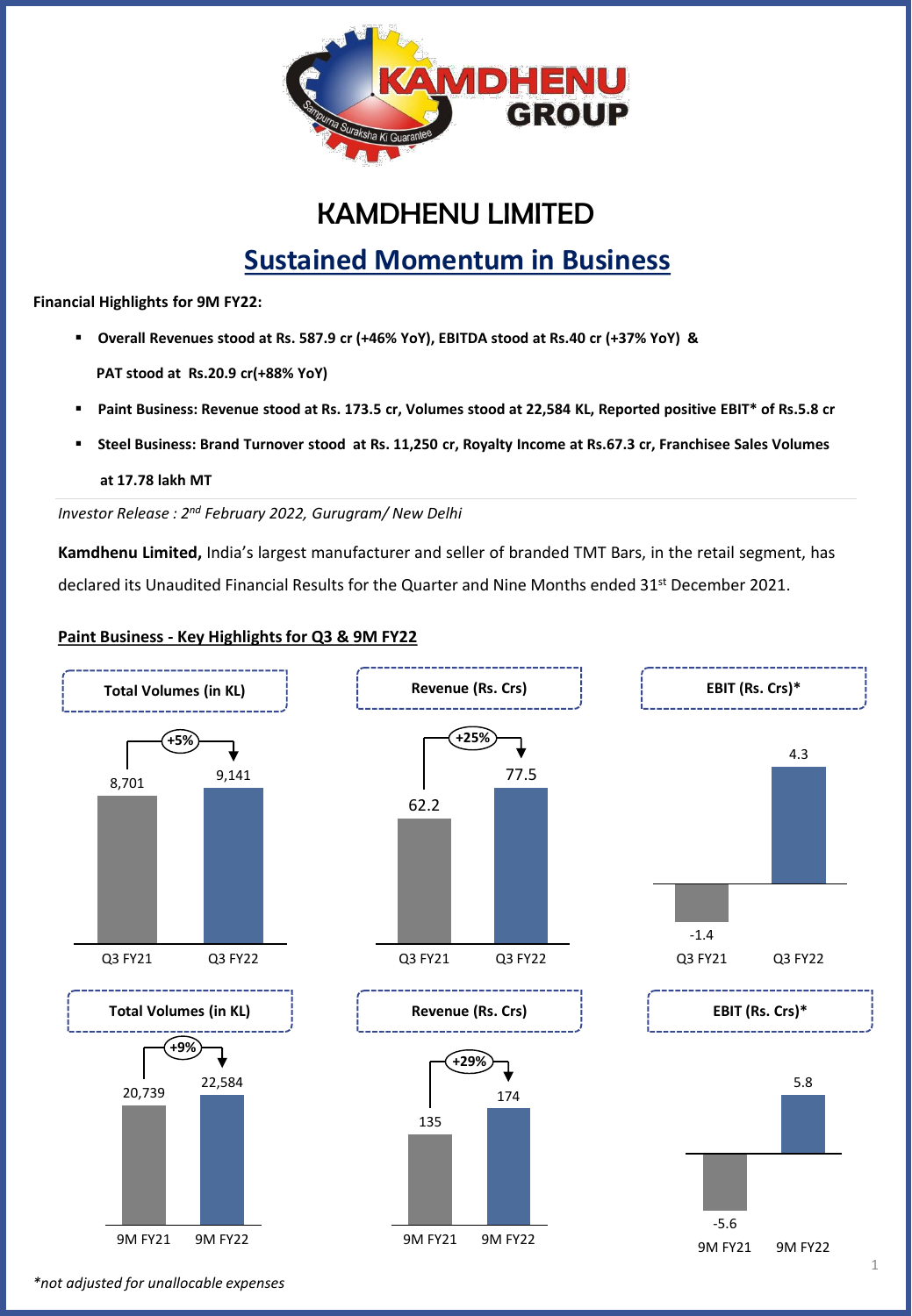

# KAMDHENU LIMITED

# **Sustained Momentum in Business**

**Financial Highlights for 9M FY22:** 

- **Overall Revenues stood at Rs. 587.9 cr (+46% YoY), EBITDA stood at Rs.40 cr (+37% YoY) & PAT stood at Rs.20.9 cr(+88% YoY)**
- **Paint Business: Revenue stood at Rs. 173.5 cr, Volumes stood at 22,584 KL, Reported positive EBIT\* of Rs.5.8 cr**
- Steel Business: Brand Turnover stood at Rs. 11,250 cr, Royalty Income at Rs.67.3 cr, Franchisee Sales Volumes

**at 17.78 lakh MT**

*Investor Release : 2 nd February 2022, Gurugram/ New Delhi*

**Kamdhenu Limited,** India's largest manufacturer and seller of branded TMT Bars, in the retail segment, has declared its Unaudited Financial Results for the Quarter and Nine Months ended 31<sup>st</sup> December 2021.

#### **Paint Business - Key Highlights for Q3 & 9M FY22**



*\*not adjusted for unallocable expenses*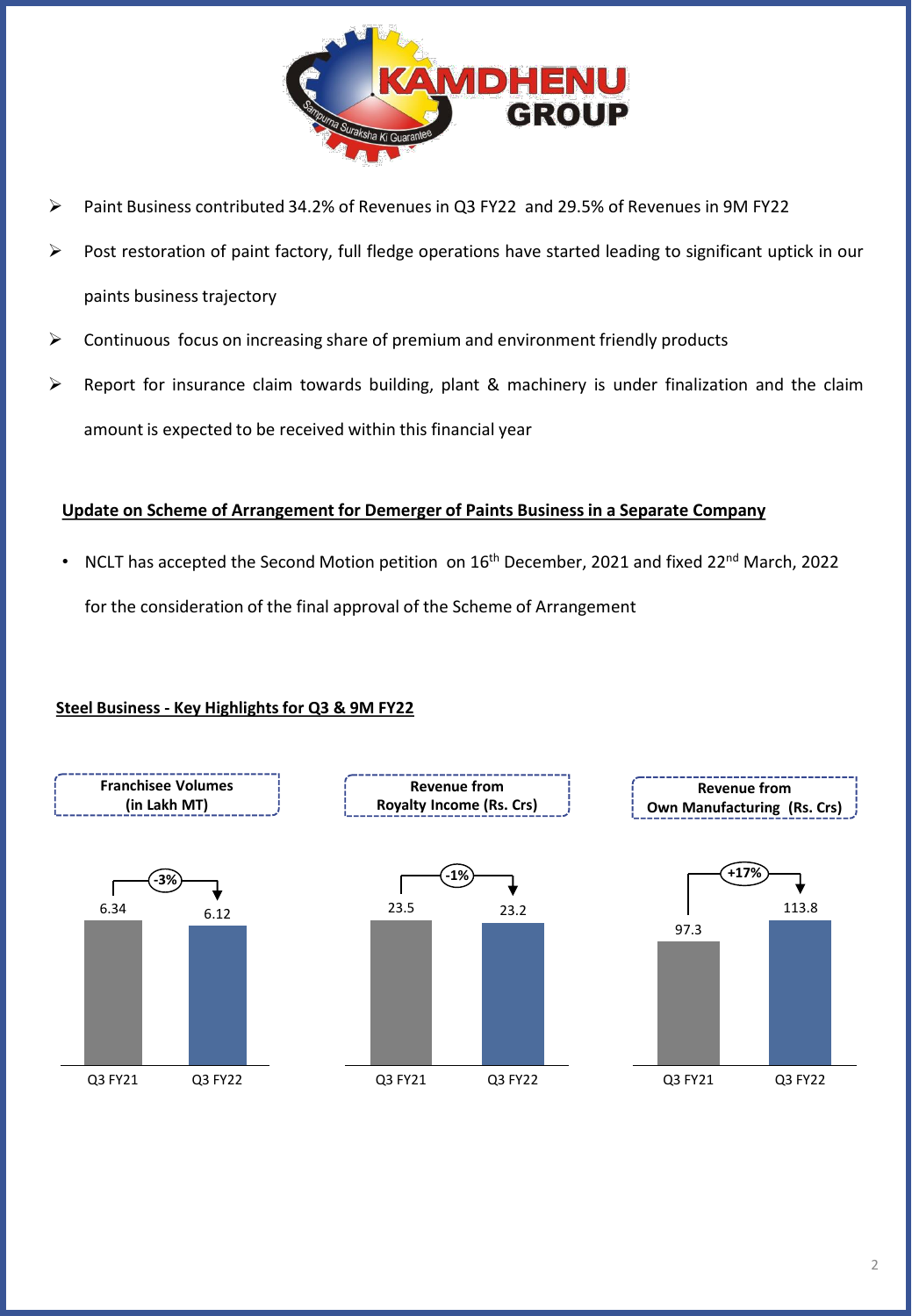

- ➢ Paint Business contributed 34.2% of Revenues in Q3 FY22 and 29.5% of Revenues in 9M FY22
- Post restoration of paint factory, full fledge operations have started leading to significant uptick in our paints business trajectory
- ➢ Continuous focus on increasing share of premium and environment friendly products
- $\triangleright$  Report for insurance claim towards building, plant & machinery is under finalization and the claim amount is expected to be received within this financial year

### **Update on Scheme of Arrangement for Demerger of Paints Business in a Separate Company**

NCLT has accepted the Second Motion petition on 16<sup>th</sup> December, 2021 and fixed 22<sup>nd</sup> March, 2022 for the consideration of the final approval of the Scheme of Arrangement

### **Steel Business - Key Highlights for Q3 & 9M FY22**

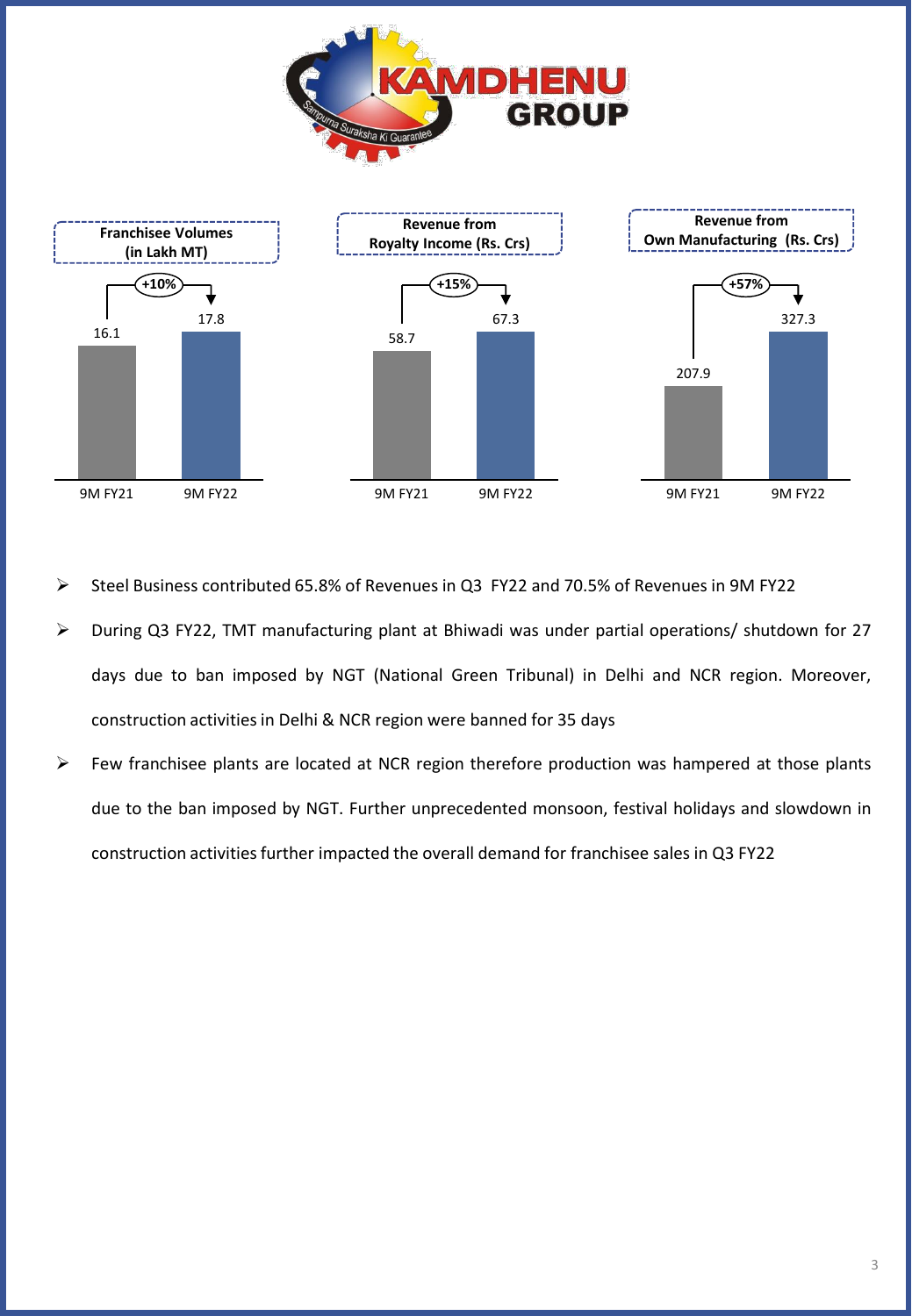



- ➢ Steel Business contributed 65.8% of Revenues in Q3 FY22 and 70.5% of Revenues in 9M FY22
- ➢ During Q3 FY22, TMT manufacturing plant at Bhiwadi was under partial operations/ shutdown for 27 days due to ban imposed by NGT (National Green Tribunal) in Delhi and NCR region. Moreover, construction activities in Delhi & NCR region were banned for 35 days
- $\triangleright$  Few franchisee plants are located at NCR region therefore production was hampered at those plants due to the ban imposed by NGT. Further unprecedented monsoon, festival holidays and slowdown in construction activities further impacted the overall demand for franchisee sales in Q3 FY22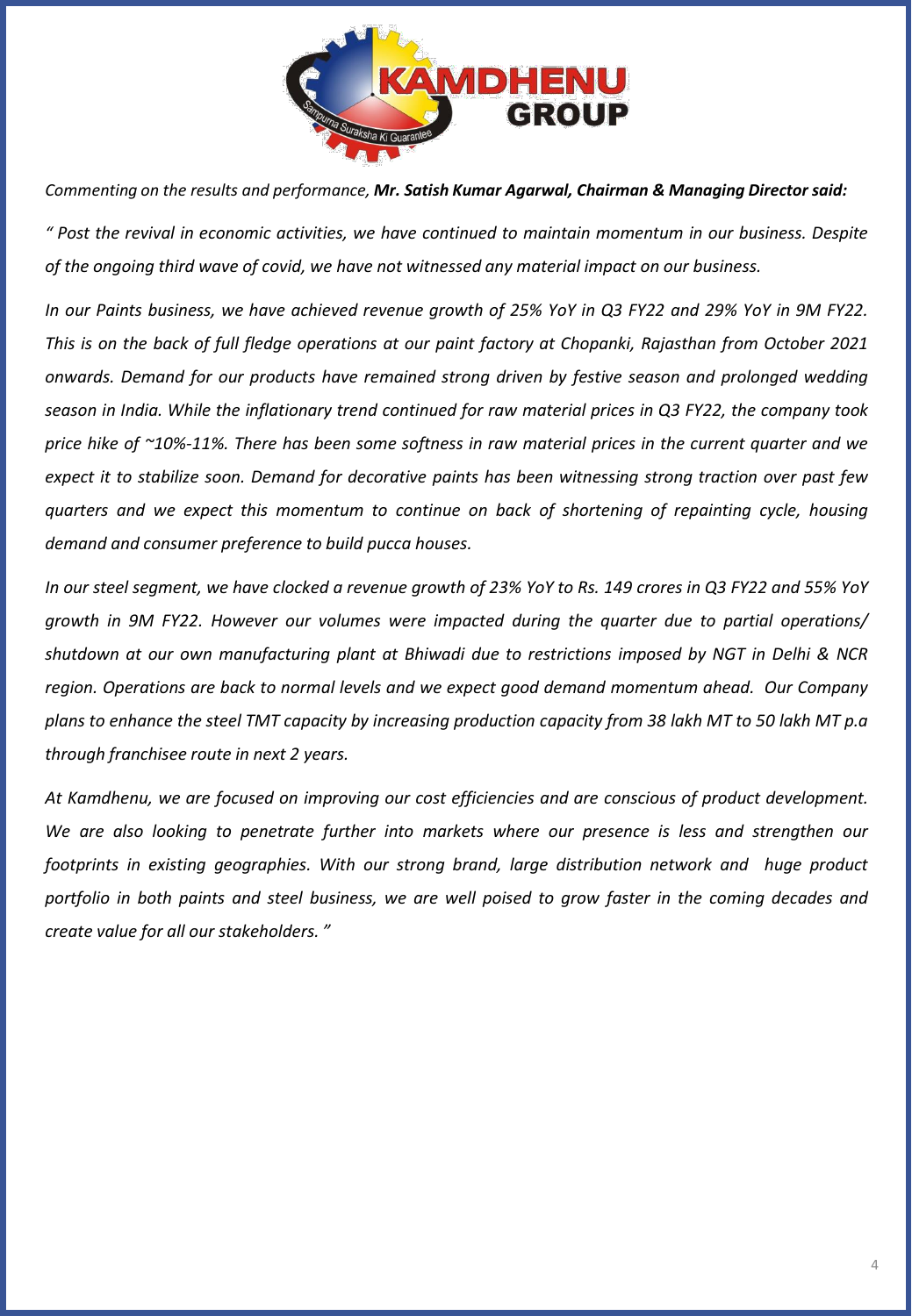

*Commenting on the results and performance, Mr. Satish Kumar Agarwal, Chairman & Managing Director said:*

" Post the revival in economic activities, we have continued to maintain momentum in our business. Despite *of the ongoing third wave of covid, we have not witnessed any material impact on our business.*

In our Paints business, we have achieved revenue growth of 25% YoY in Q3 FY22 and 29% YoY in 9M FY22. This is on the back of full fledge operations at our paint factory at Chopanki, Rajasthan from October 2021 *onwards. Demand for our products have remained strong driven by festive season and prolonged wedding* season in India. While the inflationary trend continued for raw material prices in Q3 FY22, the company took price hike of ~10%-11%. There has been some softness in raw material prices in the current quarter and we expect it to stabilize soon. Demand for decorative paints has been witnessing strong traction over past few *quarters and we expect this momentum to continue on back of shortening of repainting cycle, housing demand and consumer preference to build pucca houses.*

In our steel segment, we have clocked a revenue growth of 23% YoY to Rs. 149 crores in Q3 FY22 and 55% YoY *growth in 9M FY22. However our volumes were impacted during the quarter due to partial operations/* shutdown at our own manufacturing plant at Bhiwadi due to restrictions imposed by NGT in Delhi & NCR *region. Operations are back to normal levels and we expect good demand momentum ahead. Our Company* plans to enhance the steel TMT capacity by increasing production capacity from 38 lakh MT to 50 lakh MT p.a *through franchisee route in next 2 years.*

*At Kamdhenu, we are focused on improving our cost efficiencies and are conscious of product development. We are also looking to penetrate further into markets where our presence is less and strengthen our footprints in existing geographies. With our strong brand, large distribution network and huge product* portfolio in both paints and steel business, we are well poised to grow faster in the coming decades and *create value for all our stakeholders. "*